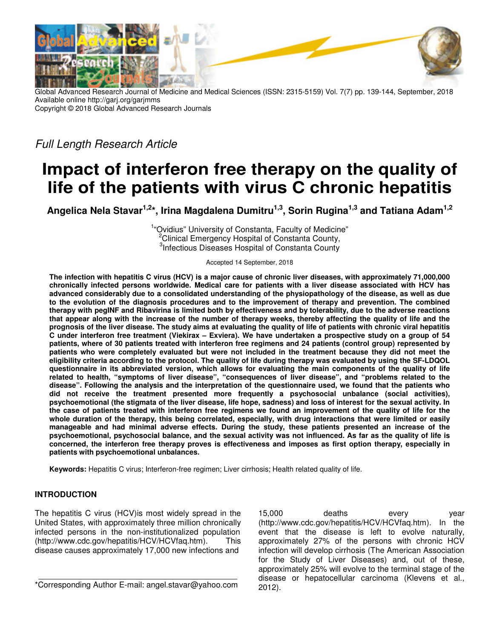

Global Advanced Research Journal of Medicine and Medical Sciences (ISSN: 2315-5159) Vol. 7(7) pp. 139-144, September, 2018 Available online http://garj.org/garjmms Copyright © 2018 Global Advanced Research Journals

Full Length Research Article

# **Impact of interferon free therapy on the quality of life of the patients with virus C chronic hepatitis**

**Angelica Nela Stavar1,2\*, Irina Magdalena Dumitru1,3, Sorin Rugina1,3 and Tatiana Adam1,2**

<sup>1</sup>"Ovidius" University of Constanta, Faculty of Medicine" <sup>2</sup>Clinical Emergency Hospital of Constanta County, <sup>3</sup>Infectious Diseases Hospital of Constanta County

Accepted 14 September, 2018

**The infection with hepatitis C virus (HCV) is a major cause of chronic liver diseases, with approximately 71,000,000 chronically infected persons worldwide. Medical care for patients with a liver disease associated with HCV has advanced considerably due to a consolidated understanding of the physiopathology of the disease, as well as due to the evolution of the diagnosis procedures and to the improvement of therapy and prevention. The combined therapy with pegINF and Ribavirina is limited both by effectiveness and by tolerability, due to the adverse reactions that appear along with the increase of the number of therapy weeks, thereby affecting the quality of life and the prognosis of the liver disease. The study aims at evaluating the quality of life of patients with chronic viral hepatitis C under interferon free treatment (Viekirax – Exviera). We have undertaken a prospective study on a group of 54 patients, where of 30 patients treated with interferon free regimens and 24 patients (control group) represented by patients who were completely evaluated but were not included in the treatment because they did not meet the eligibility criteria according to the protocol. The quality of life during therapy was evaluated by using the SF-LDQOL questionnaire in its abbreviated version, which allows for evaluating the main components of the quality of life related to health, "symptoms of liver disease", "consequences of liver disease", and "problems related to the disease". Following the analysis and the interpretation of the questionnaire used, we found that the patients who did not receive the treatment presented more frequently a psychosocial unbalance (social activities), psychoemotional (the stigmata of the liver disease, life hope, sadness) and loss of interest for the sexual activity. In the case of patients treated with interferon free regimens we found an improvement of the quality of life for the whole duration of the therapy, this being correlated, especially, with drug interactions that were limited or easily manageable and had minimal adverse effects. During the study, these patients presented an increase of the psychoemotional, psychosocial balance, and the sexual activity was not influenced. As far as the quality of life is concerned, the interferon free therapy proves is effectiveness and imposes as first option therapy, especially in patients with psychoemotional unbalances.** 

**Keywords:** Hepatitis C virus; Interferon-free regimen; Liver cirrhosis; Health related quality of life.

# **INTRODUCTION**

The hepatitis C virus (HCV)is most widely spread in the United States, with approximately three million chronically infected persons in the non-institutionalized population (http://www.cdc.gov/hepatitis/HCV/HCVfaq.htm). This disease causes approximately 17,000 new infections and

\*Corresponding Author E-mail: angel.stavar@yahoo.com

15,000 deaths every year (http://www.cdc.gov/hepatitis/HCV/HCVfaq.htm). In the event that the disease is left to evolve naturally, approximately 27% of the persons with chronic HCV infection will develop cirrhosis (The American Association for the Study of Liver Diseases) and, out of these, approximately 25% will evolve to the terminal stage of the disease or hepatocellular carcinoma (Klevens et al., 2012).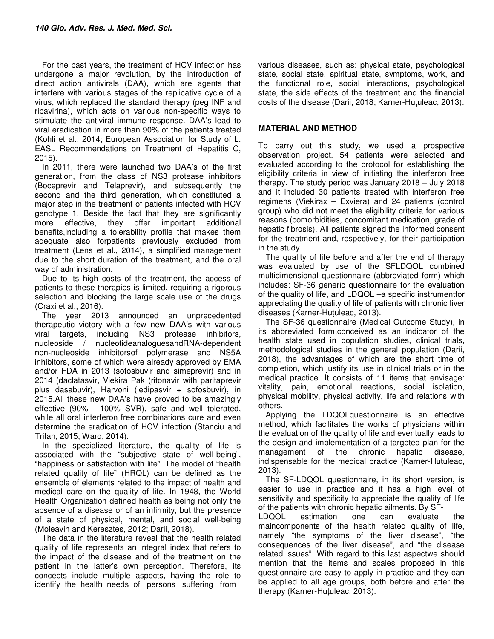For the past years, the treatment of HCV infection has undergone a major revolution, by the introduction of direct action antivirals (DAA), which are agents that interfere with various stages of the replicative cycle of a virus, which replaced the standard therapy (peg INF and ribavirina), which acts on various non-specific ways to stimulate the antiviral immune response. DAA's lead to viral eradication in more than 90% of the patients treated (Kohli et al., 2014; European Association for Study of L. EASL Recommendations on Treatment of Hepatitis C, 2015).

In 2011, there were launched two DAA's of the first generation, from the class of NS3 protease inhibitors (Boceprevir and Telaprevir), and subsequently the second and the third generation, which constituted a major step in the treatment of patients infected with HCV genotype 1. Beside the fact that they are significantly more effective, they offer important additional benefits,including a tolerability profile that makes them adequate also forpatients previously excluded from treatment (Lens et al., 2014), a simplified management due to the short duration of the treatment, and the oral way of administration.

Due to its high costs of the treatment, the access of patients to these therapies is limited, requiring a rigorous selection and blocking the large scale use of the drugs (Craxi et al., 2016).

The year 2013 announced an unprecedented therapeutic victory with a few new DAA's with various viral targets, including NS3 protease inhibitors, nucleoside / nucleotideanaloguesandRNA-dependent non-nucleoside inhibitorsof polymerase and NS5A inhibitors, some of which were already approved by EMA and/or FDA in 2013 (sofosbuvir and simeprevir) and in 2014 (daclatasvir, Viekira Pak (ritonavir with paritaprevir plus dasabuvir), Harvoni (ledipasvir + sofosbuvir), in 2015.All these new DAA's have proved to be amazingly effective (90% - 100% SVR), safe and well tolerated, while all oral interferon free combinations cure and even determine the eradication of HCV infection (Stanciu and Trifan, 2015; Ward, 2014).

In the specialized literature, the quality of life is associated with the "subjective state of well-being", "happiness or satisfaction with life". The model of "health related quality of life" (HRQL) can be defined as the ensemble of elements related to the impact of health and medical care on the quality of life. In 1948, the World Health Organization defined health as being not only the absence of a disease or of an infirmity, but the presence of a state of physical, mental, and social well-being (Moleavin and Keresztes, 2012; Darii, 2018).

The data in the literature reveal that the health related quality of life represents an integral index that refers to the impact of the disease and of the treatment on the patient in the latter's own perception. Therefore, its concepts include multiple aspects, having the role to identify the health needs of persons suffering from

various diseases, such as: physical state, psychological state, social state, spiritual state, symptoms, work, and the functional role, social interactions, psychological state, the side effects of the treatment and the financial costs of the disease (Darii, 2018; Karner-Huțuleac, 2013).

## **MATERIAL AND METHOD**

To carry out this study, we used a prospective observation project. 54 patients were selected and evaluated according to the protocol for establishing the eligibility criteria in view of initiating the interferon free therapy. The study period was January 2018 – July 2018 and it included 30 patients treated with interferon free regimens (Viekirax – Exviera) and 24 patients (control group) who did not meet the eligibility criteria for various reasons (comorbidities, concomitant medication, grade of hepatic fibrosis). All patients signed the informed consent for the treatment and, respectively, for their participation in the study.

The quality of life before and after the end of therapy was evaluated by use of the SFLDQOL combined multidimensional questionnaire (abbreviated form) which includes: SF-36 generic questionnaire for the evaluation of the quality of life, and LDQOL –a specific instrumentfor appreciating the quality of life of patients with chronic liver diseases (Karner-Huțuleac, 2013).

The SF-36 questionnaire (Medical Outcome Study), in its abbreviated form,conceived as an indicator of the health state used in population studies, clinical trials, methodological studies in the general population (Darii, 2018), the advantages of which are the short time of completion, which justify its use in clinical trials or in the medical practice. It consists of 11 items that envisage: vitality, pain, emotional reactions, social isolation, physical mobility, physical activity, life and relations with others.

Applying the LDQOLquestionnaire is an effective method, which facilitates the works of physicians within the evaluation of the quality of life and eventually leads to the design and implementation of a targeted plan for the management of the chronic hepatic disease, indispensable for the medical practice (Karner-Huțuleac, 2013).

The SF-LDQOL questionnaire, in its short version, is easier to use in practice and it has a high level of sensitivity and specificity to appreciate the quality of life of the patients with chronic hepatic ailments. By SF-

LDQOL estimation one can evaluate the maincomponents of the health related quality of life, namely "the symptoms of the liver disease", "the consequences of the liver disease", and "the disease related issues". With regard to this last aspectwe should mention that the items and scales proposed in this questionnaire are easy to apply in practice and they can be applied to all age groups, both before and after the therapy (Karner-Huțuleac, 2013).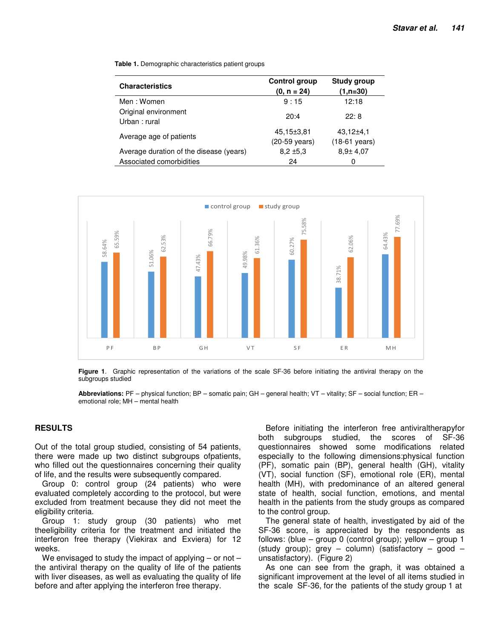**Table 1.** Demographic characteristics patient groups

| <b>Characteristics</b>                  | Control group<br>$(0, n = 24)$ | Study group<br>$(1, n=30)$                 |
|-----------------------------------------|--------------------------------|--------------------------------------------|
| Men: Women                              | 9:15                           | 12:18                                      |
| Original environment<br>Urban : rural   | 20:4                           | 22:8                                       |
| Average age of patients                 | 45,15±3,81<br>(20-59 years)    | $43,12{\pm}4,1$<br>$(18-61 \text{ years})$ |
| Average duration of the disease (years) | $8.2 \pm 5.3$                  | $8.9 \pm 4.07$                             |
| Associated comorbidities                | 24                             | 0                                          |



**Figure 1**. Graphic representation of the variations of the scale SF-36 before initiating the antiviral therapy on the subgroups studied

**Abbreviations:** PF – physical function; BP – somatic pain; GH – general health; VT – vitality; SF – social function; ER – emotional role; MH – mental health

#### **RESULTS**

Out of the total group studied, consisting of 54 patients, there were made up two distinct subgroups ofpatients, who filled out the questionnaires concerning their quality of life, and the results were subsequently compared.

Group 0: control group (24 patients) who were evaluated completely according to the protocol, but were excluded from treatment because they did not meet the eligibility criteria.

Group 1: study group (30 patients) who met theeligibility criteria for the treatment and initiated the interferon free therapy (Viekirax and Exviera) for 12 weeks.

We envisaged to study the impact of applying  $-$  or not  $$ the antiviral therapy on the quality of life of the patients with liver diseases, as well as evaluating the quality of life before and after applying the interferon free therapy.

Before initiating the interferon free antiviraltherapyfor both subgroups studied, the scores of SF-36 questionnaires showed some modifications related especially to the following dimensions:physical function (PF), somatic pain (BP), general health (GH), vitality (VT), social function (SF), emotional role (ER), mental health (MH), with predominance of an altered general state of health, social function, emotions, and mental health in the patients from the study groups as compared to the control group.

The general state of health, investigated by aid of the SF-36 score, is appreciated by the respondents as follows: (blue – group 0 (control group); yellow – group 1 (study group); grey – column) (satisfactory – good – unsatisfactory). (Figure 2)

As one can see from the graph, it was obtained a significant improvement at the level of all items studied in the scale SF-36, for the patients of the study group 1 at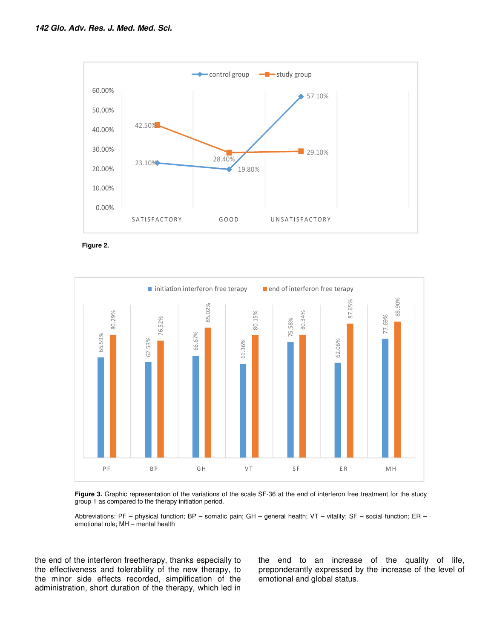

**Figure 2.**



Figure 3. Graphic representation of the variations of the scale SF-36 at the end of interferon free treatment for the study group 1 as compared to the therapy initiation period.

Abbreviations: PF – physical function; BP – somatic pain; GH – general health; VT – vitality; SF – social function; ER – emotional role; MH – mental health

the end of the interferon freetherapy, thanks especially to the effectiveness and tolerability of the new therapy, to the minor side effects recorded, simplification of the administration, short duration of the therapy, which led in the end to an increase of the quality of life, preponderantly expressed by the increase of the level of emotional and global status.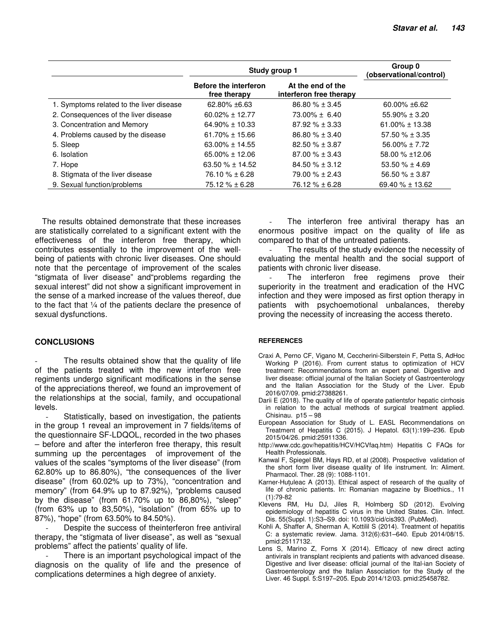|                                          | Study group 1                                |                                              | Group 0<br>(observational/control) |
|------------------------------------------|----------------------------------------------|----------------------------------------------|------------------------------------|
|                                          | <b>Before the interferon</b><br>free therapy | At the end of the<br>interferon free therapy |                                    |
| 1. Symptoms related to the liver disease | $62.80\% + 6.63$                             | $86.80 \% \pm 3.45$                          | $60.00\% + 6.62$                   |
| 2. Consequences of the liver disease     | $60.02\% \pm 12.77$                          | $73.00\% \pm 6.40$                           | $55.90\% \pm 3.20$                 |
| 3. Concentration and Memory              | $64.90\% \pm 10.33$                          | $87.92\% \pm 3.33$                           | $61.00\% \pm 13.38$                |
| 4. Problems caused by the disease        | $61.70\% \pm 15.66$                          | $86.80 \% \pm 3.40$                          | $57.50 \% \pm 3.35$                |
| 5. Sleep                                 | $63.00\% \pm 14.55$                          | $82.50\% \pm 3.87$                           | $56.00\% \pm 7.72$                 |
| 6. Isolation                             | $65.00\% \pm 12.06$                          | $87.00\% \pm 3.43$                           | 58.00 % ±12.06                     |
| 7. Hope                                  | $63.50 \% \pm 14.52$                         | $84.50\% \pm 3.12$                           | $53.50 \% \pm 4.69$                |
| 8. Stigmata of the liver disease         | $76.10\% \pm 6.28$                           | $79.00 \% \pm 2.43$                          | $56.50 \% \pm 3.87$                |
| 9. Sexual function/problems              | $75.12 \% \pm 6.28$                          | $76.12\% \pm 6.28$                           | 69.40 $% \pm 13.62$                |

The results obtained demonstrate that these increases are statistically correlated to a significant extent with the effectiveness of the interferon free therapy, which contributes essentially to the improvement of the wellbeing of patients with chronic liver diseases. One should note that the percentage of improvement of the scales "stigmata of liver disease" and"problems regarding the sexual interest" did not show a significant improvement in the sense of a marked increase of the values thereof, due to the fact that ¼ of the patients declare the presence of sexual dysfunctions.

## **CONCLUSIONS**

The results obtained show that the quality of life of the patients treated with the new interferon free regiments undergo significant modifications in the sense of the appreciations thereof, we found an improvement of the relationships at the social, family, and occupational levels.

Statistically, based on investigation, the patients in the group 1 reveal an improvement in 7 fields/items of the questionnaire SF-LDQOL, recorded in the two phases – before and after the interferon free therapy, this result summing up the percentages of improvement of the values of the scales "symptoms of the liver disease" (from 62.80% up to 86.80%), "the consequences of the liver disease" (from 60.02% up to 73%), "concentration and memory" (from 64.9% up to 87.92%), "problems caused by the disease" (from 61.70% up to 86,80%), "sleep" (from 63% up to 83,50%), "isolation" (from 65% up to 87%), "hope" (from 63.50% to 84.50%).

Despite the success of theinterferon free antiviral therapy, the "stigmata of liver disease", as well as "sexual problems" affect the patients' quality of life.

There is an important psychological impact of the diagnosis on the quality of life and the presence of complications determines a high degree of anxiety.

The interferon free antiviral therapy has an enormous positive impact on the quality of life as compared to that of the untreated patients.

The results of the study evidence the necessity of evaluating the mental health and the social support of patients with chronic liver disease.

The interferon free regimens prove their superiority in the treatment and eradication of the HVC infection and they were imposed as first option therapy in patients with psychoemotional unbalances, thereby proving the necessity of increasing the access thereto.

## **REFERENCES**

- Craxi A, Perno CF, Vigano M, Ceccherini-Silberstein F, Petta S, AdHoc Working P (2016). From current status to optimization of HCV treatment: Recommendations from an expert panel. Digestive and liver disease: official journal of the Italian Society of Gastroenterology and the Italian Association for the Study of the Liver. Epub 2016/07/09. pmid:27388261.
- Darii E (2018). The quality of life of operate patientsfor hepatic cirrhosis in relation to the actual methods of surgical treatment applied. Chisinau. p15 – 98
- European Association for Study of L. EASL Recommendations on Treatment of Hepatitis C (2015). J Hepatol. 63(1):199–236. Epub 2015/04/26. pmid:25911336.
- http://www.cdc.gov/hepatitis/HCV/HCVfaq.htm) Hepatitis C FAQs for Health Professionals.
- Kanwal F, Spiegel BM, Hays RD, et al (2008). Prospective validation of the short form liver disease quality of life instrument. In: Aliment. Pharmacol. Ther. 28 (9): 1088-1101.
- Karner-Huțuleac A (2013). Ethical aspect of research of the quality of life of chronic patients. In: Romanian magazine by Bioethics., 11 (1):79-82
- Klevens RM, Hu DJ, Jiles R, Holmberg SD (2012). Evolving epidemiology of hepatitis C virus in the United States. Clin. Infect. Dis. 55(Suppl. 1):S3–S9. doi: 10.1093/cid/cis393. (PubMed).
- Kohli A, Shaffer A, Sherman A, Kottilil S (2014). Treatment of hepatitis C: a systematic review. Jama. 312(6):631–640. Epub 2014/08/15. pmid:25117132.
- Lens S, Marino Z, Forns X (2014). Efficacy of new direct acting antivirals in transplant recipients and patients with advanced disease. Digestive and liver disease: official journal of the Ital-ian Society of Gastroenterology and the Italian Association for the Study of the Liver. 46 Suppl. 5:S197–205. Epub 2014/12/03. pmid:25458782.